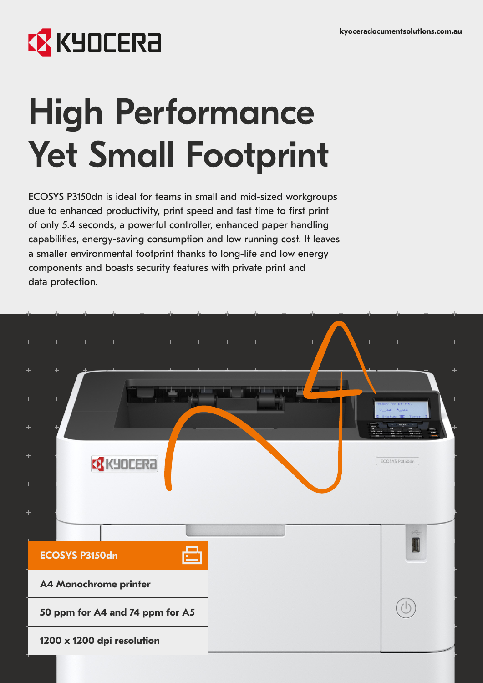## **EX KYOCERA**

# High Performance Yet Small Footprint

ECOSYS P3150dn is ideal for teams in small and mid-sized workgroups due to enhanced productivity, print speed and fast time to first print of only 5.4 seconds, a powerful controller, enhanced paper handling capabilities, energy-saving consumption and low running cost. It leaves a smaller environmental footprint thanks to long-life and low energy components and boasts security features with private print and data protection.